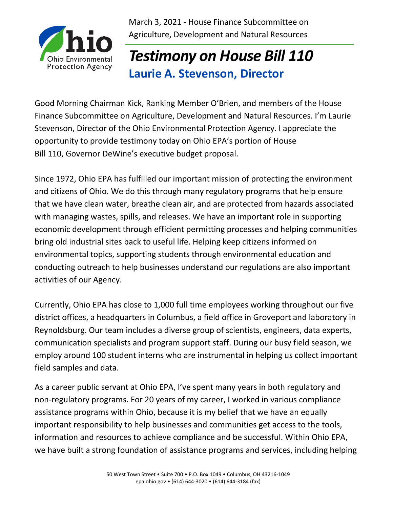

March 3, 2021 - House Finance Subcommittee on Agriculture, Development and Natural Resources

## *Testimony on House Bill 110* **Laurie A. Stevenson, Director**

Good Morning Chairman Kick, Ranking Member O'Brien, and members of the House Finance Subcommittee on Agriculture, Development and Natural Resources. I'm Laurie Stevenson, Director of the Ohio Environmental Protection Agency. I appreciate the opportunity to provide testimony today on Ohio EPA's portion of House Bill 110, Governor DeWine's executive budget proposal.

Since 1972, Ohio EPA has fulfilled our important mission of protecting the environment and citizens of Ohio. We do this through many regulatory programs that help ensure that we have clean water, breathe clean air, and are protected from hazards associated with managing wastes, spills, and releases. We have an important role in supporting economic development through efficient permitting processes and helping communities bring old industrial sites back to useful life. Helping keep citizens informed on environmental topics, supporting students through environmental education and conducting outreach to help businesses understand our regulations are also important activities of our Agency.

Currently, Ohio EPA has close to 1,000 full time employees working throughout our five district offices, a headquarters in Columbus, a field office in Groveport and laboratory in Reynoldsburg. Our team includes a diverse group of scientists, engineers, data experts, communication specialists and program support staff. During our busy field season, we employ around 100 student interns who are instrumental in helping us collect important field samples and data.

As a career public servant at Ohio EPA, I've spent many years in both regulatory and non-regulatory programs. For 20 years of my career, I worked in various compliance assistance programs within Ohio, because it is my belief that we have an equally important responsibility to help businesses and communities get access to the tools, information and resources to achieve compliance and be successful. Within Ohio EPA, we have built a strong foundation of assistance programs and services, including helping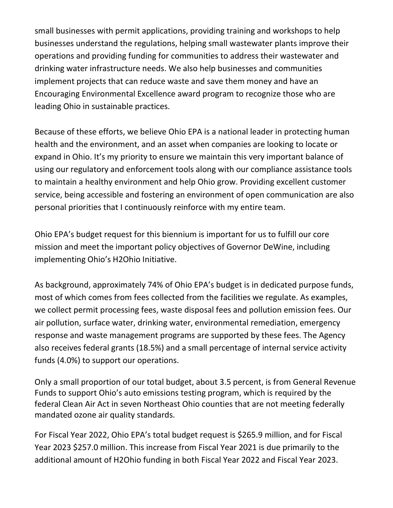small businesses with permit applications, providing training and workshops to help businesses understand the regulations, helping small wastewater plants improve their operations and providing funding for communities to address their wastewater and drinking water infrastructure needs. We also help businesses and communities implement projects that can reduce waste and save them money and have an Encouraging Environmental Excellence award program to recognize those who are leading Ohio in sustainable practices.

Because of these efforts, we believe Ohio EPA is a national leader in protecting human health and the environment, and an asset when companies are looking to locate or expand in Ohio. It's my priority to ensure we maintain this very important balance of using our regulatory and enforcement tools along with our compliance assistance tools to maintain a healthy environment and help Ohio grow. Providing excellent customer service, being accessible and fostering an environment of open communication are also personal priorities that I continuously reinforce with my entire team.

Ohio EPA's budget request for this biennium is important for us to fulfill our core mission and meet the important policy objectives of Governor DeWine, including implementing Ohio's H2Ohio Initiative.

As background, approximately 74% of Ohio EPA's budget is in dedicated purpose funds, most of which comes from fees collected from the facilities we regulate. As examples, we collect permit processing fees, waste disposal fees and pollution emission fees. Our air pollution, surface water, drinking water, environmental remediation, emergency response and waste management programs are supported by these fees. The Agency also receives federal grants (18.5%) and a small percentage of internal service activity funds (4.0%) to support our operations.

Only a small proportion of our total budget, about 3.5 percent, is from General Revenue Funds to support Ohio's auto emissions testing program, which is required by the federal Clean Air Act in seven Northeast Ohio counties that are not meeting federally mandated ozone air quality standards.

For Fiscal Year 2022, Ohio EPA's total budget request is \$265.9 million, and for Fiscal Year 2023 \$257.0 million. This increase from Fiscal Year 2021 is due primarily to the additional amount of H2Ohio funding in both Fiscal Year 2022 and Fiscal Year 2023.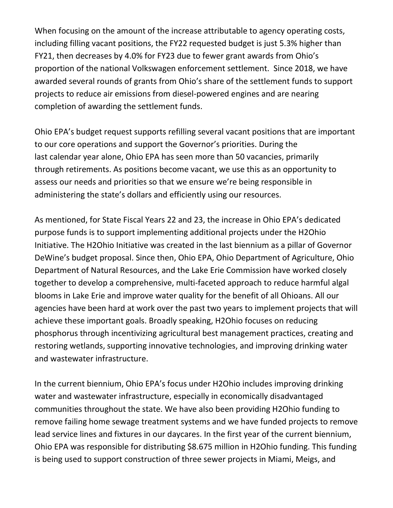When focusing on the amount of the increase attributable to agency operating costs, including filling vacant positions, the FY22 requested budget is just 5.3% higher than FY21, then decreases by 4.0% for FY23 due to fewer grant awards from Ohio's proportion of the national Volkswagen enforcement settlement. Since 2018, we have awarded several rounds of grants from Ohio's share of the settlement funds to support projects to reduce air emissions from diesel-powered engines and are nearing completion of awarding the settlement funds.

Ohio EPA's budget request supports refilling several vacant positions that are important to our core operations and support the Governor's priorities. During the last calendar year alone, Ohio EPA has seen more than 50 vacancies, primarily through retirements. As positions become vacant, we use this as an opportunity to assess our needs and priorities so that we ensure we're being responsible in administering the state's dollars and efficiently using our resources.

As mentioned, for State Fiscal Years 22 and 23, the increase in Ohio EPA's dedicated purpose funds is to support implementing additional projects under the H2Ohio Initiative. The H2Ohio Initiative was created in the last biennium as a pillar of Governor DeWine's budget proposal. Since then, Ohio EPA, Ohio Department of Agriculture, Ohio Department of Natural Resources, and the Lake Erie Commission have worked closely together to develop a comprehensive, multi-faceted approach to reduce harmful algal blooms in Lake Erie and improve water quality for the benefit of all Ohioans. All our agencies have been hard at work over the past two years to implement projects that will achieve these important goals. Broadly speaking, H2Ohio focuses on reducing phosphorus through incentivizing agricultural best management practices, creating and restoring wetlands, supporting innovative technologies, and improving drinking water and wastewater infrastructure.

In the current biennium, Ohio EPA's focus under H2Ohio includes improving drinking water and wastewater infrastructure, especially in economically disadvantaged communities throughout the state. We have also been providing H2Ohio funding to remove failing home sewage treatment systems and we have funded projects to remove lead service lines and fixtures in our daycares. In the first year of the current biennium, Ohio EPA was responsible for distributing \$8.675 million in H2Ohio funding. This funding is being used to support construction of three sewer projects in Miami, Meigs, and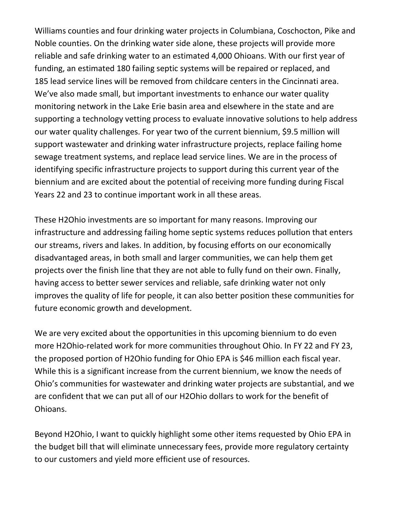Williams counties and four drinking water projects in Columbiana, Coschocton, Pike and Noble counties. On the drinking water side alone, these projects will provide more reliable and safe drinking water to an estimated 4,000 Ohioans. With our first year of funding, an estimated 180 failing septic systems will be repaired or replaced, and 185 lead service lines will be removed from childcare centers in the Cincinnati area. We've also made small, but important investments to enhance our water quality monitoring network in the Lake Erie basin area and elsewhere in the state and are supporting a technology vetting process to evaluate innovative solutions to help address our water quality challenges. For year two of the current biennium, \$9.5 million will support wastewater and drinking water infrastructure projects, replace failing home sewage treatment systems, and replace lead service lines. We are in the process of identifying specific infrastructure projects to support during this current year of the biennium and are excited about the potential of receiving more funding during Fiscal Years 22 and 23 to continue important work in all these areas.

These H2Ohio investments are so important for many reasons. Improving our infrastructure and addressing failing home septic systems reduces pollution that enters our streams, rivers and lakes. In addition, by focusing efforts on our economically disadvantaged areas, in both small and larger communities, we can help them get projects over the finish line that they are not able to fully fund on their own. Finally, having access to better sewer services and reliable, safe drinking water not only improves the quality of life for people, it can also better position these communities for future economic growth and development.

We are very excited about the opportunities in this upcoming biennium to do even more H2Ohio-related work for more communities throughout Ohio. In FY 22 and FY 23, the proposed portion of H2Ohio funding for Ohio EPA is \$46 million each fiscal year. While this is a significant increase from the current biennium, we know the needs of Ohio's communities for wastewater and drinking water projects are substantial, and we are confident that we can put all of our H2Ohio dollars to work for the benefit of Ohioans.

Beyond H2Ohio, I want to quickly highlight some other items requested by Ohio EPA in the budget bill that will eliminate unnecessary fees, provide more regulatory certainty to our customers and yield more efficient use of resources.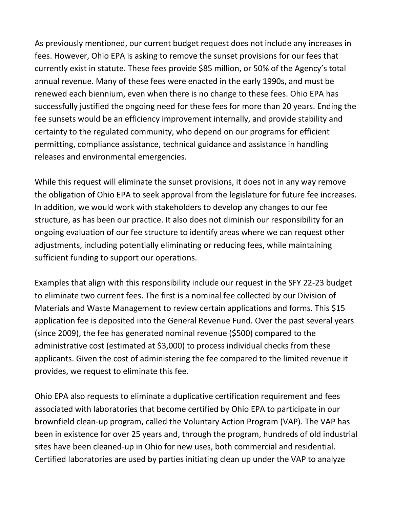As previously mentioned, our current budget request does not include any increases in fees. However, Ohio EPA is asking to remove the sunset provisions for our fees that currently exist in statute. These fees provide \$85 million, or 50% of the Agency's total annual revenue. Many of these fees were enacted in the early 1990s, and must be renewed each biennium, even when there is no change to these fees. Ohio EPA has successfully justified the ongoing need for these fees for more than 20 years. Ending the fee sunsets would be an efficiency improvement internally, and provide stability and certainty to the regulated community, who depend on our programs for efficient permitting, compliance assistance, technical guidance and assistance in handling releases and environmental emergencies.

While this request will eliminate the sunset provisions, it does not in any way remove the obligation of Ohio EPA to seek approval from the legislature for future fee increases. In addition, we would work with stakeholders to develop any changes to our fee structure, as has been our practice. It also does not diminish our responsibility for an ongoing evaluation of our fee structure to identify areas where we can request other adjustments, including potentially eliminating or reducing fees, while maintaining sufficient funding to support our operations.

Examples that align with this responsibility include our request in the SFY 22-23 budget to eliminate two current fees. The first is a nominal fee collected by our Division of Materials and Waste Management to review certain applications and forms. This \$15 application fee is deposited into the General Revenue Fund. Over the past several years (since 2009), the fee has generated nominal revenue (\$500) compared to the administrative cost (estimated at \$3,000) to process individual checks from these applicants. Given the cost of administering the fee compared to the limited revenue it provides, we request to eliminate this fee.

Ohio EPA also requests to eliminate a duplicative certification requirement and fees associated with laboratories that become certified by Ohio EPA to participate in our brownfield clean-up program, called the Voluntary Action Program (VAP). The VAP has been in existence for over 25 years and, through the program, hundreds of old industrial sites have been cleaned-up in Ohio for new uses, both commercial and residential. Certified laboratories are used by parties initiating clean up under the VAP to analyze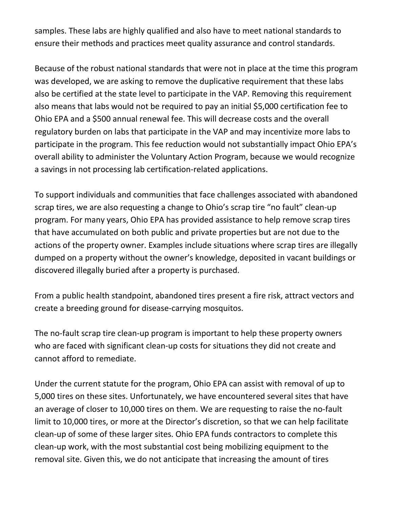samples. These labs are highly qualified and also have to meet national standards to ensure their methods and practices meet quality assurance and control standards.

Because of the robust national standards that were not in place at the time this program was developed, we are asking to remove the duplicative requirement that these labs also be certified at the state level to participate in the VAP. Removing this requirement also means that labs would not be required to pay an initial \$5,000 certification fee to Ohio EPA and a \$500 annual renewal fee. This will decrease costs and the overall regulatory burden on labs that participate in the VAP and may incentivize more labs to participate in the program. This fee reduction would not substantially impact Ohio EPA's overall ability to administer the Voluntary Action Program, because we would recognize a savings in not processing lab certification-related applications.

To support individuals and communities that face challenges associated with abandoned scrap tires, we are also requesting a change to Ohio's scrap tire "no fault" clean-up program. For many years, Ohio EPA has provided assistance to help remove scrap tires that have accumulated on both public and private properties but are not due to the actions of the property owner. Examples include situations where scrap tires are illegally dumped on a property without the owner's knowledge, deposited in vacant buildings or discovered illegally buried after a property is purchased.

From a public health standpoint, abandoned tires present a fire risk, attract vectors and create a breeding ground for disease-carrying mosquitos.

The no-fault scrap tire clean-up program is important to help these property owners who are faced with significant clean-up costs for situations they did not create and cannot afford to remediate.

Under the current statute for the program, Ohio EPA can assist with removal of up to 5,000 tires on these sites. Unfortunately, we have encountered several sites that have an average of closer to 10,000 tires on them. We are requesting to raise the no-fault limit to 10,000 tires, or more at the Director's discretion, so that we can help facilitate clean-up of some of these larger sites. Ohio EPA funds contractors to complete this clean-up work, with the most substantial cost being mobilizing equipment to the removal site. Given this, we do not anticipate that increasing the amount of tires